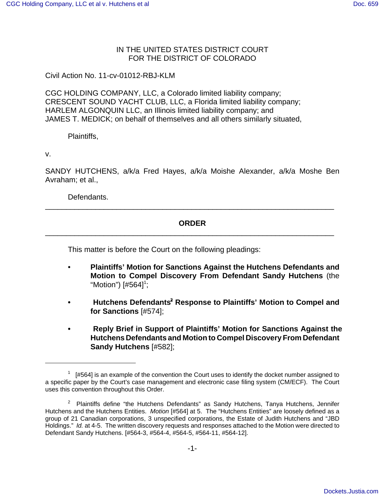### IN THE UNITED STATES DISTRICT COURT FOR THE DISTRICT OF COLORADO

Civil Action No. 11-cv-01012-RBJ-KLM

CGC HOLDING COMPANY, LLC, a Colorado limited liability company; CRESCENT SOUND YACHT CLUB, LLC, a Florida limited liability company; HARLEM ALGONQUIN LLC, an Illinois limited liability company; and JAMES T. MEDICK; on behalf of themselves and all others similarly situated,

Plaintiffs,

v.

SANDY HUTCHENS, a/k/a Fred Hayes, a/k/a Moishe Alexander, a/k/a Moshe Ben Avraham; et al.,

Defendants.

### **ORDER** \_\_\_\_\_\_\_\_\_\_\_\_\_\_\_\_\_\_\_\_\_\_\_\_\_\_\_\_\_\_\_\_\_\_\_\_\_\_\_\_\_\_\_\_\_\_\_\_\_\_\_\_\_\_\_\_\_\_\_\_\_\_\_\_\_\_\_\_\_

\_\_\_\_\_\_\_\_\_\_\_\_\_\_\_\_\_\_\_\_\_\_\_\_\_\_\_\_\_\_\_\_\_\_\_\_\_\_\_\_\_\_\_\_\_\_\_\_\_\_\_\_\_\_\_\_\_\_\_\_\_\_\_\_\_\_\_\_\_

This matter is before the Court on the following pleadings:

- **Plaintiffs' Motion for Sanctions Against the Hutchens Defendants and Motion to Compel Discovery From Defendant Sandy Hutchens** (the "Motion") [#564]<sup>1</sup>;
- **Hutchens Defendants'<sup>2</sup> Response to Plaintiffs' Motion to Compel and for Sanctions** [#574];
- **Reply Brief in Support of Plaintiffs' Motion for Sanctions Against the Hutchens Defendants and Motion to Compel Discovery From Defendant Sandy Hutchens** [#582];

 $1$  [#564] is an example of the convention the Court uses to identify the docket number assigned to a specific paper by the Court's case management and electronic case filing system (CM/ECF). The Court uses this convention throughout this Order.

<sup>&</sup>lt;sup>2</sup> Plaintiffs define "the Hutchens Defendants" as Sandy Hutchens, Tanya Hutchens, Jennifer Hutchens and the Hutchens Entities. Motion [#564] at 5. The "Hutchens Entities" are loosely defined as a group of 21 Canadian corporations, 3 unspecified corporations, the Estate of Judith Hutchens and "JBD Holdings." Id. at 4-5. The written discovery requests and responses attached to the Motion were directed to Defendant Sandy Hutchens. [#564-3, #564-4, #564-5, #564-11, #564-12].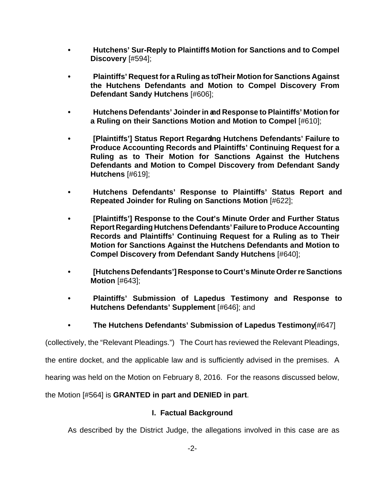- **Hutchens' Sur-Reply to Plaintiffs' Motion for Sanctions and to Compel Discovery** [#594];
- **Plaintiffs' Request for a Ruling as to Their Motion for Sanctions Against the Hutchens Defendants and Motion to Compel Discovery From Defendant Sandy Hutchens** [#606];
- **Hutchens Defendants' Joinder in and Response to Plaintiffs' Motion for a Ruling on their Sanctions Motion and Motion to Compel** [#610];
- **[Plaintiffs'] Status Report Regarding Hutchens Defendants' Failure to Produce Accounting Records and Plaintiffs' Continuing Request for a Ruling as to Their Motion for Sanctions Against the Hutchens Defendants and Motion to Compel Discovery from Defendant Sandy Hutchens** [#619];
- **Hutchens Defendants' Response to Plaintiffs' Status Report and Repeated Joinder for Ruling on Sanctions Motion** [#622];
- **•** [Plaintiffs'] Response to the Cout's Minute Order and Further Status **Report Regarding Hutchens Defendants' Failure to Produce Accounting Records and Plaintiffs' Continuing Request for a Ruling as to Their Motion for Sanctions Against the Hutchens Defendants and Motion to Compel Discovery from Defendant Sandy Hutchens** [#640];
- **[Hutchens Defendants'] Response to Court's Minute Order re Sanctions Motion** [#643];
- **Plaintiffs' Submission of Lapedus Testimony and Response to Hutchens Defendants' Supplement** [#646]; and
- **The Hutchens Defendants' Submission of Lapedus Testimony** [#647]

(collectively, the "Relevant Pleadings.") The Court has reviewed the Relevant Pleadings,

the entire docket, and the applicable law and is sufficiently advised in the premises. A

hearing was held on the Motion on February 8, 2016. For the reasons discussed below,

the Motion [#564] is **GRANTED in part and DENIED in part**.

### **I. Factual Background**

As described by the District Judge, the allegations involved in this case are as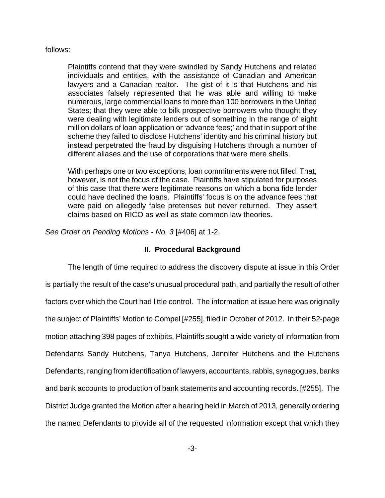#### follows:

Plaintiffs contend that they were swindled by Sandy Hutchens and related individuals and entities, with the assistance of Canadian and American lawyers and a Canadian realtor. The gist of it is that Hutchens and his associates falsely represented that he was able and willing to make numerous, large commercial loans to more than 100 borrowers in the United States; that they were able to bilk prospective borrowers who thought they were dealing with legitimate lenders out of something in the range of eight million dollars of loan application or 'advance fees;' and that in support of the scheme they failed to disclose Hutchens' identity and his criminal history but instead perpetrated the fraud by disguising Hutchens through a number of different aliases and the use of corporations that were mere shells.

With perhaps one or two exceptions, loan commitments were not filled. That, however, is not the focus of the case. Plaintiffs have stipulated for purposes of this case that there were legitimate reasons on which a bona fide lender could have declined the loans. Plaintiffs' focus is on the advance fees that were paid on allegedly false pretenses but never returned. They assert claims based on RICO as well as state common law theories.

See Order on Pending Motions - No. 3 [#406] at 1-2.

#### **II. Procedural Background**

The length of time required to address the discovery dispute at issue in this Order is partially the result of the case's unusual procedural path, and partially the result of other factors over which the Court had little control. The information at issue here was originally the subject of Plaintiffs' Motion to Compel [#255], filed in October of 2012. In their 52-page motion attaching 398 pages of exhibits, Plaintiffs sought a wide variety of information from Defendants Sandy Hutchens, Tanya Hutchens, Jennifer Hutchens and the Hutchens Defendants, ranging from identification of lawyers, accountants, rabbis, synagogues, banks and bank accounts to production of bank statements and accounting records. [#255]. The District Judge granted the Motion after a hearing held in March of 2013, generally ordering the named Defendants to provide all of the requested information except that which they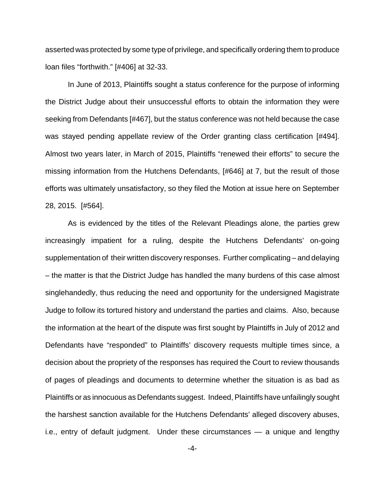asserted was protected by some type of privilege, and specifically ordering them to produce loan files "forthwith." [#406] at 32-33.

In June of 2013, Plaintiffs sought a status conference for the purpose of informing the District Judge about their unsuccessful efforts to obtain the information they were seeking from Defendants [#467], but the status conference was not held because the case was stayed pending appellate review of the Order granting class certification [#494]. Almost two years later, in March of 2015, Plaintiffs "renewed their efforts" to secure the missing information from the Hutchens Defendants, [#646] at 7, but the result of those efforts was ultimately unsatisfactory, so they filed the Motion at issue here on September 28, 2015. [#564].

As is evidenced by the titles of the Relevant Pleadings alone, the parties grew increasingly impatient for a ruling, despite the Hutchens Defendants' on-going supplementation of their written discovery responses. Further complicating – and delaying – the matter is that the District Judge has handled the many burdens of this case almost singlehandedly, thus reducing the need and opportunity for the undersigned Magistrate Judge to follow its tortured history and understand the parties and claims.Also, because the information at the heart of the dispute was first sought by Plaintiffs in July of 2012 and Defendants have "responded" to Plaintiffs' discovery requests multiple times since, a decision about the propriety of the responses has required the Court to review thousands of pages of pleadings and documents to determine whether the situation is as bad as Plaintiffs or as innocuous as Defendants suggest. Indeed, Plaintiffs have unfailingly sought the harshest sanction available for the Hutchens Defendants' alleged discovery abuses, i.e., entry of default judgment. Under these circumstances — a unique and lengthy

-4-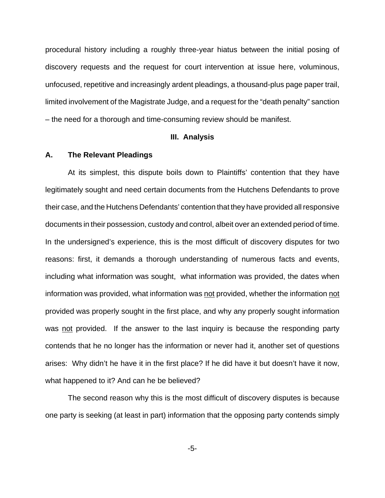procedural history including a roughly three-year hiatus between the initial posing of discovery requests and the request for court intervention at issue here, voluminous, unfocused, repetitive and increasingly ardent pleadings, a thousand-plus page paper trail, limited involvement of the Magistrate Judge, and a request for the "death penalty" sanction – the need for a thorough and time-consuming review should be manifest.

#### **III. Analysis**

#### **A. The Relevant Pleadings**

At its simplest, this dispute boils down to Plaintiffs' contention that they have legitimately sought and need certain documents from the Hutchens Defendants to prove their case, and the Hutchens Defendants' contention that they have provided all responsive documents in their possession, custody and control, albeit over an extended period of time. In the undersigned's experience, this is the most difficult of discovery disputes for two reasons: first, it demands a thorough understanding of numerous facts and events, including what information was sought, what information was provided, the dates when information was provided, what information was not provided, whether the information not provided was properly sought in the first place, and why any properly sought information was not provided. If the answer to the last inquiry is because the responding party contends that he no longer has the information or never had it, another set of questions arises: Why didn't he have it in the first place? If he did have it but doesn't have it now, what happened to it? And can he be believed?

The second reason why this is the most difficult of discovery disputes is because one party is seeking (at least in part) information that the opposing party contends simply

-5-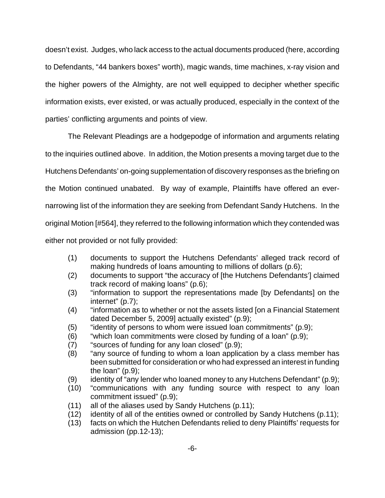doesn't exist. Judges, who lack access to the actual documents produced (here, according to Defendants, "44 bankers boxes" worth), magic wands, time machines, x-ray vision and the higher powers of the Almighty, are not well equipped to decipher whether specific information exists, ever existed, or was actually produced, especially in the context of the parties' conflicting arguments and points of view.

The Relevant Pleadings are a hodgepodge of information and arguments relating to the inquiries outlined above. In addition, the Motion presents a moving target due to the Hutchens Defendants' on-going supplementation of discovery responses as the briefing on the Motion continued unabated. By way of example, Plaintiffs have offered an evernarrowing list of the information they are seeking from Defendant Sandy Hutchens. In the original Motion [#564], they referred to the following information which they contended was either not provided or not fully provided:

- (1) documents to support the Hutchens Defendants' alleged track record of making hundreds of loans amounting to millions of dollars (p.6);
- (2) documents to support "the accuracy of [the Hutchens Defendants'] claimed track record of making loans" (p.6);
- (3) "information to support the representations made [by Defendants] on the internet" (p.7);
- (4) "information as to whether or not the assets listed [on a Financial Statement dated December 5, 2009] actually existed" (p.9);
- (5) "identity of persons to whom were issued loan commitments" (p.9);
- (6) "which loan commitments were closed by funding of a loan" (p.9);
- (7) "sources of funding for any loan closed" (p.9);
- (8) "any source of funding to whom a loan application by a class member has been submitted for consideration or who had expressed an interest in funding the loan" (p.9);
- (9) identity of "any lender who loaned money to any Hutchens Defendant" (p.9);
- (10) "communications with any funding source with respect to any loan commitment issued" (p.9);
- (11) all of the aliases used by Sandy Hutchens (p.11);
- (12) identity of all of the entities owned or controlled by Sandy Hutchens (p.11);
- (13) facts on which the Hutchen Defendants relied to deny Plaintiffs' requests for admission (pp.12-13);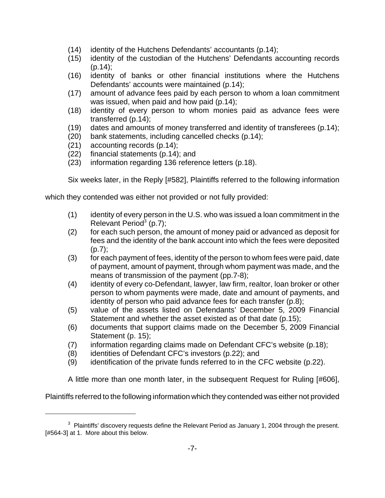- (14) identity of the Hutchens Defendants' accountants (p.14);
- (15) identity of the custodian of the Hutchens' Defendants accounting records  $(p.14)$ ;
- (16) identity of banks or other financial institutions where the Hutchens Defendants' accounts were maintained (p.14);
- (17) amount of advance fees paid by each person to whom a loan commitment was issued, when paid and how paid (p.14);
- (18) identity of every person to whom monies paid as advance fees were transferred (p.14);
- (19) dates and amounts of money transferred and identity of transferees (p.14);
- (20) bank statements, including cancelled checks (p.14);
- (21) accounting records (p.14);
- (22) financial statements (p.14); and
- (23) information regarding 136 reference letters (p.18).

Six weeks later, in the Reply [#582], Plaintiffs referred to the following information

which they contended was either not provided or not fully provided:

- (1) identity of every person in the U.S. who was issued a loan commitment in the Relevant Period $3$  (p.7);
- (2) for each such person, the amount of money paid or advanced as deposit for fees and the identity of the bank account into which the fees were deposited  $(p.7)$ ;
- (3) for each payment of fees, identity of the person to whom fees were paid, date of payment, amount of payment, through whom payment was made, and the means of transmission of the payment (pp.7-8);
- (4) identity of every co-Defendant, lawyer, law firm, realtor, loan broker or other person to whom payments were made, date and amount of payments, and identity of person who paid advance fees for each transfer (p.8);
- (5) value of the assets listed on Defendants' December 5, 2009 Financial Statement and whether the asset existed as of that date (p.15);
- (6) documents that support claims made on the December 5, 2009 Financial Statement (p. 15);
- (7) information regarding claims made on Defendant CFC's website (p.18);
- (8) identities of Defendant CFC's investors (p.22); and
- (9) identification of the private funds referred to in the CFC website (p.22).

A little more than one month later, in the subsequent Request for Ruling [#606],

Plaintiffs referred to the following information which they contended was either not provided

 $3$  Plaintiffs' discovery requests define the Relevant Period as January 1, 2004 through the present. [#564-3] at 1. More about this below.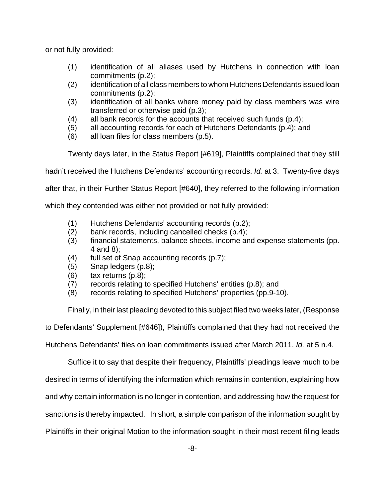or not fully provided:

- (1) identification of all aliases used by Hutchens in connection with loan commitments (p.2);
- (2) identification of all class members to whom Hutchens Defendants issued loan commitments (p.2);
- (3) identification of all banks where money paid by class members was wire transferred or otherwise paid (p.3);
- (4) all bank records for the accounts that received such funds (p.4);
- (5) all accounting records for each of Hutchens Defendants (p.4); and
- (6) all loan files for class members (p.5).

Twenty days later, in the Status Report [#619], Plaintiffs complained that they still

hadn't received the Hutchens Defendants' accounting records. Id. at 3. Twenty-five days

after that, in their Further Status Report [#640], they referred to the following information

which they contended was either not provided or not fully provided:

- (1) Hutchens Defendants' accounting records (p.2);
- (2) bank records, including cancelled checks (p.4);
- (3) financial statements, balance sheets, income and expense statements (pp. 4 and 8);
- (4) full set of Snap accounting records (p.7);
- (5) Snap ledgers (p.8);
- $(6)$  tax returns  $(p.8)$ ;
- (7) records relating to specified Hutchens' entities (p.8); and
- (8) records relating to specified Hutchens' properties (pp.9-10).

Finally, in their last pleading devoted to this subject filed two weeks later, (Response

to Defendants' Supplement [#646]), Plaintiffs complained that they had not received the

Hutchens Defendants' files on loan commitments issued after March 2011. Id. at 5 n.4.

Suffice it to say that despite their frequency, Plaintiffs' pleadings leave much to be

desired in terms of identifying the information which remains in contention, explaining how

and why certain information is no longer in contention, and addressing how the request for

sanctions is thereby impacted. In short, a simple comparison of the information sought by

Plaintiffs in their original Motion to the information sought in their most recent filing leads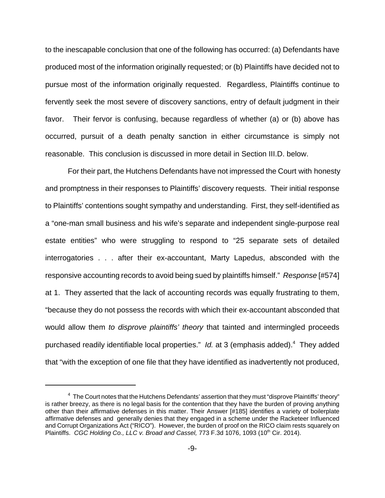to the inescapable conclusion that one of the following has occurred: (a) Defendants have produced most of the information originally requested; or (b) Plaintiffs have decided not to pursue most of the information originally requested. Regardless, Plaintiffs continue to fervently seek the most severe of discovery sanctions, entry of default judgment in their favor. Their fervor is confusing, because regardless of whether (a) or (b) above has occurred, pursuit of a death penalty sanction in either circumstance is simply not reasonable. This conclusion is discussed in more detail in Section III.D. below.

 For their part, the Hutchens Defendants have not impressed the Court with honesty and promptness in their responses to Plaintiffs' discovery requests. Their initial response to Plaintiffs' contentions sought sympathy and understanding. First, they self-identified as a "one-man small business and his wife's separate and independent single-purpose real estate entities" who were struggling to respond to "25 separate sets of detailed interrogatories . . . after their ex-accountant, Marty Lapedus, absconded with the responsive accounting records to avoid being sued by plaintiffs himself." Response [#574] at 1. They asserted that the lack of accounting records was equally frustrating to them, "because they do not possess the records with which their ex-accountant absconded that would allow them to disprove plaintiffs' theory that tainted and intermingled proceeds purchased readily identifiable local properties." Id. at 3 (emphasis added).<sup>4</sup> They added that "with the exception of one file that they have identified as inadvertently not produced,

 $4\,$  The Court notes that the Hutchens Defendants' assertion that they must "disprove Plaintiffs' theory" is rather breezy, as there is no legal basis for the contention that they have the burden of proving anything other than their affirmative defenses in this matter. Their Answer [#185] identifies a variety of boilerplate affirmative defenses and generally denies that they engaged in a scheme under the Racketeer Influenced and Corrupt Organizations Act ("RICO"). However, the burden of proof on the RICO claim rests squarely on Plaintiffs. CGC Holding Co., LLC v. Broad and Cassel, 773 F.3d 1076, 1093 (10<sup>th</sup> Cir. 2014).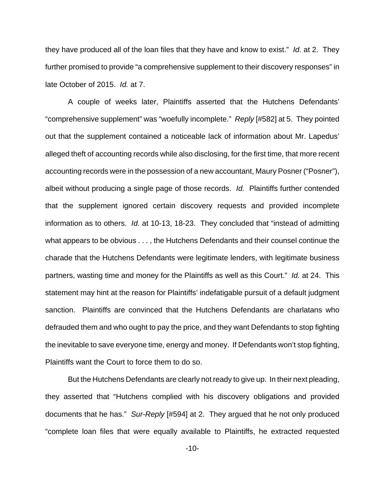they have produced all of the loan files that they have and know to exist." Id. at 2. They further promised to provide "a comprehensive supplement to their discovery responses" in late October of 2015. Id. at 7.

A couple of weeks later, Plaintiffs asserted that the Hutchens Defendants' "comprehensive supplement" was "woefully incomplete." Reply [#582] at 5. They pointed out that the supplement contained a noticeable lack of information about Mr. Lapedus' alleged theft of accounting records while also disclosing, for the first time, that more recent accounting records were in the possession of a new accountant, Maury Posner ("Posner"), albeit without producing a single page of those records. Id. Plaintiffs further contended that the supplement ignored certain discovery requests and provided incomplete information as to others. Id. at 10-13, 18-23. They concluded that "instead of admitting what appears to be obvious . . . , the Hutchens Defendants and their counsel continue the charade that the Hutchens Defendants were legitimate lenders, with legitimate business partners, wasting time and money for the Plaintiffs as well as this Court." Id. at 24. This statement may hint at the reason for Plaintiffs' indefatigable pursuit of a default judgment sanction. Plaintiffs are convinced that the Hutchens Defendants are charlatans who defrauded them and who ought to pay the price, and they want Defendants to stop fighting the inevitable to save everyone time, energy and money. If Defendants won't stop fighting, Plaintiffs want the Court to force them to do so.

But the Hutchens Defendants are clearly not ready to give up. In their next pleading, they asserted that "Hutchens complied with his discovery obligations and provided documents that he has." Sur-Reply [#594] at 2. They argued that he not only produced "complete loan files that were equally available to Plaintiffs, he extracted requested

-10-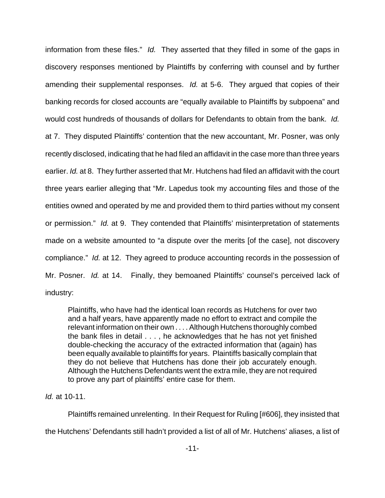information from these files." Id. They asserted that they filled in some of the gaps in discovery responses mentioned by Plaintiffs by conferring with counsel and by further amending their supplemental responses. Id. at 5-6. They argued that copies of their banking records for closed accounts are "equally available to Plaintiffs by subpoena" and would cost hundreds of thousands of dollars for Defendants to obtain from the bank. *Id.* at 7. They disputed Plaintiffs' contention that the new accountant, Mr. Posner, was only recently disclosed, indicating that he had filed an affidavit in the case more than three years earlier. Id. at 8. They further asserted that Mr. Hutchens had filed an affidavit with the court three years earlier alleging that "Mr. Lapedus took my accounting files and those of the entities owned and operated by me and provided them to third parties without my consent or permission." Id. at 9. They contended that Plaintiffs' misinterpretation of statements made on a website amounted to "a dispute over the merits [of the case], not discovery compliance." Id. at 12. They agreed to produce accounting records in the possession of Mr. Posner. Id. at 14. Finally, they bemoaned Plaintiffs' counsel's perceived lack of industry:

Plaintiffs, who have had the identical loan records as Hutchens for over two and a half years, have apparently made no effort to extract and compile the relevant information on their own . . . . Although Hutchens thoroughly combed the bank files in detail . . . , he acknowledges that he has not yet finished double-checking the accuracy of the extracted information that (again) has been equally available to plaintiffs for years. Plaintiffs basically complain that they do not believe that Hutchens has done their job accurately enough. Although the Hutchens Defendants went the extra mile, they are not required to prove any part of plaintiffs' entire case for them.

### Id. at 10-11.

Plaintiffs remained unrelenting. In their Request for Ruling [#606], they insisted that the Hutchens' Defendants still hadn't provided a list of all of Mr. Hutchens' aliases, a list of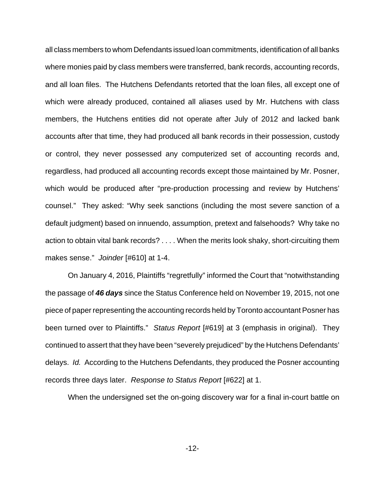all class members to whom Defendants issued loan commitments, identification of all banks where monies paid by class members were transferred, bank records, accounting records, and all loan files. The Hutchens Defendants retorted that the loan files, all except one of which were already produced, contained all aliases used by Mr. Hutchens with class members, the Hutchens entities did not operate after July of 2012 and lacked bank accounts after that time, they had produced all bank records in their possession, custody or control, they never possessed any computerized set of accounting records and, regardless, had produced all accounting records except those maintained by Mr. Posner, which would be produced after "pre-production processing and review by Hutchens' counsel." They asked: "Why seek sanctions (including the most severe sanction of a default judgment) based on innuendo, assumption, pretext and falsehoods? Why take no action to obtain vital bank records? . . . . When the merits look shaky, short-circuiting them makes sense." Joinder [#610] at 1-4.

On January 4, 2016, Plaintiffs "regretfully" informed the Court that "notwithstanding the passage of **46 days** since the Status Conference held on November 19, 2015, not one piece of paper representing the accounting records held by Toronto accountant Posner has been turned over to Plaintiffs." Status Report [#619] at 3 (emphasis in original). They continued to assert that they have been "severely prejudiced" by the Hutchens Defendants' delays. Id. According to the Hutchens Defendants, they produced the Posner accounting records three days later. Response to Status Report [#622] at 1.

When the undersigned set the on-going discovery war for a final in-court battle on

-12-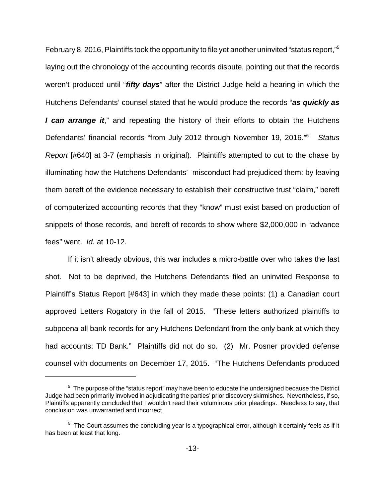February 8, 2016, Plaintiffs took the opportunity to file yet another uninvited "status report,"<sup>5</sup> laying out the chronology of the accounting records dispute, pointing out that the records weren't produced until "**fifty days**" after the District Judge held a hearing in which the Hutchens Defendants' counsel stated that he would produce the records "**as quickly as I can arrange it**," and repeating the history of their efforts to obtain the Hutchens Defendants' financial records "from July 2012 through November 19, 2016."<sup>6</sup> **Status** Report [#640] at 3-7 (emphasis in original). Plaintiffs attempted to cut to the chase by illuminating how the Hutchens Defendants' misconduct had prejudiced them: by leaving them bereft of the evidence necessary to establish their constructive trust "claim," bereft of computerized accounting records that they "know" must exist based on production of snippets of those records, and bereft of records to show where \$2,000,000 in "advance fees" went. Id. at 10-12.

If it isn't already obvious, this war includes a micro-battle over who takes the last shot. Not to be deprived, the Hutchens Defendants filed an uninvited Response to Plaintiff's Status Report [#643] in which they made these points: (1) a Canadian court approved Letters Rogatory in the fall of 2015. "These letters authorized plaintiffs to subpoena all bank records for any Hutchens Defendant from the only bank at which they had accounts: TD Bank." Plaintiffs did not do so. (2) Mr. Posner provided defense counsel with documents on December 17, 2015. "The Hutchens Defendants produced

 $5$  The purpose of the "status report" may have been to educate the undersigned because the District Judge had been primarily involved in adjudicating the parties' prior discovery skirmishes. Nevertheless, if so, Plaintiffs apparently concluded that I wouldn't read their voluminous prior pleadings. Needless to say, that conclusion was unwarranted and incorrect.

 $^6$  The Court assumes the concluding year is a typographical error, although it certainly feels as if it has been at least that long.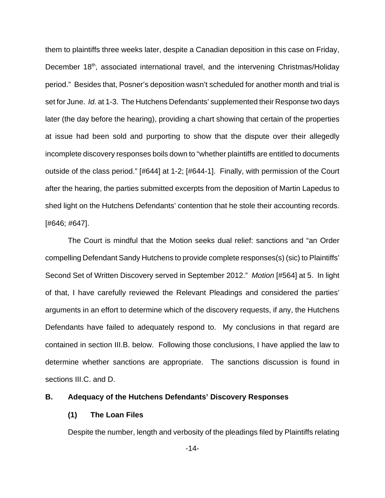them to plaintiffs three weeks later, despite a Canadian deposition in this case on Friday, December 18<sup>th</sup>, associated international travel, and the intervening Christmas/Holiday period." Besides that, Posner's deposition wasn't scheduled for another month and trial is set for June. Id. at 1-3. The Hutchens Defendants' supplemented their Response two days later (the day before the hearing), providing a chart showing that certain of the properties at issue had been sold and purporting to show that the dispute over their allegedly incomplete discovery responses boils down to "whether plaintiffs are entitled to documents outside of the class period." [#644] at 1-2; [#644-1]. Finally, with permission of the Court after the hearing, the parties submitted excerpts from the deposition of Martin Lapedus to shed light on the Hutchens Defendants' contention that he stole their accounting records. [#646; #647].

The Court is mindful that the Motion seeks dual relief: sanctions and "an Order compelling Defendant Sandy Hutchens to provide complete responses(s) (sic) to Plaintiffs' Second Set of Written Discovery served in September 2012." Motion [#564] at 5. In light of that, I have carefully reviewed the Relevant Pleadings and considered the parties' arguments in an effort to determine which of the discovery requests, if any, the Hutchens Defendants have failed to adequately respond to. My conclusions in that regard are contained in section III.B. below. Following those conclusions, I have applied the law to determine whether sanctions are appropriate. The sanctions discussion is found in sections III.C. and D.

#### **B. Adequacy of the Hutchens Defendants' Discovery Responses**

#### **(1) The Loan Files**

Despite the number, length and verbosity of the pleadings filed by Plaintiffs relating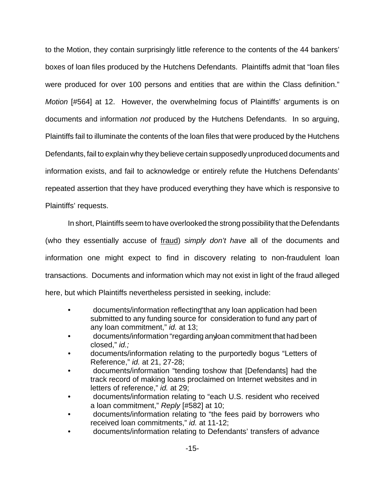to the Motion, they contain surprisingly little reference to the contents of the 44 bankers' boxes of loan files produced by the Hutchens Defendants. Plaintiffs admit that "loan files were produced for over 100 persons and entities that are within the Class definition." Motion [#564] at 12. However, the overwhelming focus of Plaintiffs' arguments is on documents and information not produced by the Hutchens Defendants. In so arguing, Plaintiffs fail to illuminate the contents of the loan files that were produced by the Hutchens Defendants, fail to explain why they believe certain supposedly unproduced documents and information exists, and fail to acknowledge or entirely refute the Hutchens Defendants' repeated assertion that they have produced everything they have which is responsive to Plaintiffs' requests.

In short, Plaintiffs seem to have overlooked the strong possibility that the Defendants (who they essentially accuse of fraud) simply don't have all of the documents and information one might expect to find in discovery relating to non-fraudulent loan transactions. Documents and information which may not exist in light of the fraud alleged here, but which Plaintiffs nevertheless persisted in seeking, include:

- documents/information reflecting that any loan application had been submitted to any funding source for consideration to fund any part of any loan commitment," id. at 13;
- documents/information "regarding any loan commitment that had been closed," id.;
- documents/information relating to the purportedly bogus "Letters of Reference," id. at 21, 27-28;
- documents/information "tending to show that [Defendants] had the track record of making loans proclaimed on Internet websites and in letters of reference," id. at 29;
- documents/information relating to "each U.S. resident who received a loan commitment," Reply [#582] at 10;
- documents/information relating to "the fees paid by borrowers who received loan commitments," id. at 11-12;
- documents/information relating to Defendants' transfers of advance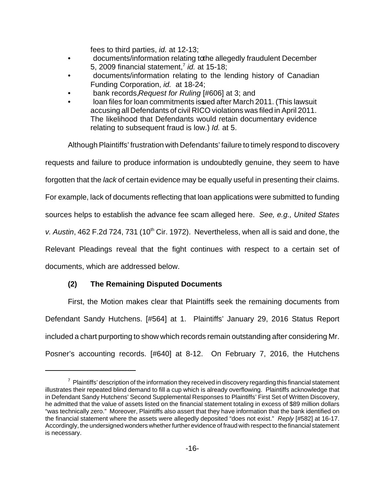fees to third parties, id. at 12-13;

- documents/information relating to the allegedly fraudulent December 5, 2009 financial statement, $7$  id. at 15-18;
- documents/information relating to the lending history of Canadian Funding Corporation, id. at 18-24;
- bank records, Request for Ruling [#606] at 3; and
- loan files for loan commitments issued after March 2011. (This lawsuit accusing all Defendants of civil RICO violations was filed in April 2011. The likelihood that Defendants would retain documentary evidence relating to subsequent fraud is low.) Id. at 5.

Although Plaintiffs' frustration with Defendants' failure to timely respond to discovery requests and failure to produce information is undoubtedly genuine, they seem to have forgotten that the lack of certain evidence may be equally useful in presenting their claims. For example, lack of documents reflecting that loan applications were submitted to funding sources helps to establish the advance fee scam alleged here. See, e.g., United States v. Austin, 462 F.2d 724, 731 (10<sup>th</sup> Cir. 1972). Nevertheless, when all is said and done, the Relevant Pleadings reveal that the fight continues with respect to a certain set of documents, which are addressed below.

## **(2) The Remaining Disputed Documents**

First, the Motion makes clear that Plaintiffs seek the remaining documents from Defendant Sandy Hutchens. [#564] at 1. Plaintiffs' January 29, 2016 Status Report included a chart purporting to show which records remain outstanding after considering Mr. Posner's accounting records. [#640] at 8-12. On February 7, 2016, the Hutchens

<sup>&</sup>lt;sup>7</sup> Plaintiffs' description of the information they received in discovery regarding this financial statement illustrates their repeated blind demand to fill a cup which is already overflowing. Plaintiffs acknowledge that in Defendant Sandy Hutchens' Second Supplemental Responses to Plaintiffs' First Set of Written Discovery, he admitted that the value of assets listed on the financial statement totaling in excess of \$89 million dollars "was technically zero." Moreover, Plaintiffs also assert that they have information that the bank identified on the financial statement where the assets were allegedly deposited "does not exist." Reply [#582] at 16-17. Accordingly, the undersigned wonders whether further evidence of fraud with respect to the financial statement is necessary.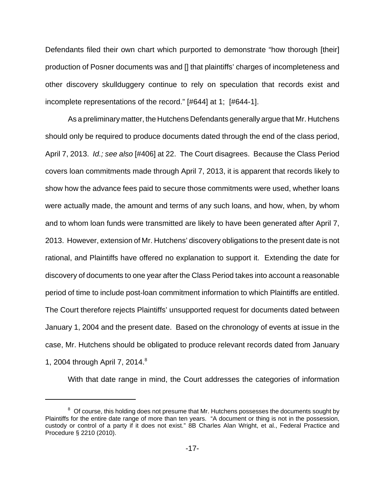Defendants filed their own chart which purported to demonstrate "how thorough [their] production of Posner documents was and [] that plaintiffs' charges of incompleteness and other discovery skullduggery continue to rely on speculation that records exist and incomplete representations of the record." [#644] at 1; [#644-1].

As a preliminary matter, the Hutchens Defendants generally argue that Mr. Hutchens should only be required to produce documents dated through the end of the class period, April 7, 2013. Id.; see also [#406] at 22. The Court disagrees. Because the Class Period covers loan commitments made through April 7, 2013, it is apparent that records likely to show how the advance fees paid to secure those commitments were used, whether loans were actually made, the amount and terms of any such loans, and how, when, by whom and to whom loan funds were transmitted are likely to have been generated after April 7, 2013. However, extension of Mr. Hutchens' discovery obligations to the present date is not rational, and Plaintiffs have offered no explanation to support it. Extending the date for discovery of documents to one year after the Class Period takes into account a reasonable period of time to include post-loan commitment information to which Plaintiffs are entitled. The Court therefore rejects Plaintiffs' unsupported request for documents dated between January 1, 2004 and the present date. Based on the chronology of events at issue in the case, Mr. Hutchens should be obligated to produce relevant records dated from January 1, 2004 through April 7, 2014.<sup>8</sup>

With that date range in mind, the Court addresses the categories of information

 $8<sup>8</sup>$  Of course, this holding does not presume that Mr. Hutchens possesses the documents sought by Plaintiffs for the entire date range of more than ten years. "A document or thing is not in the possession, custody or control of a party if it does not exist." 8B Charles Alan Wright, et al., Federal Practice and Procedure § 2210 (2010).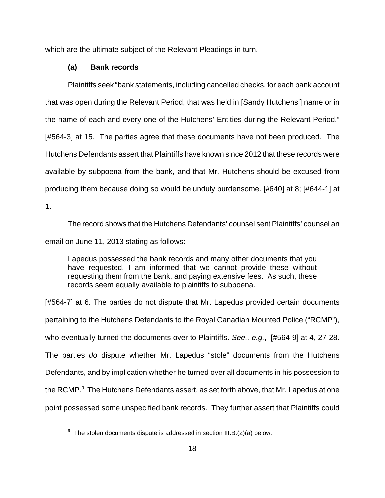which are the ultimate subject of the Relevant Pleadings in turn.

### **(a) Bank records**

Plaintiffs seek "bank statements, including cancelled checks, for each bank account that was open during the Relevant Period, that was held in [Sandy Hutchens'] name or in the name of each and every one of the Hutchens' Entities during the Relevant Period." [#564-3] at 15. The parties agree that these documents have not been produced. The Hutchens Defendants assert that Plaintiffs have known since 2012 that these records were available by subpoena from the bank, and that Mr. Hutchens should be excused from producing them because doing so would be unduly burdensome. [#640] at 8; [#644-1] at

1.

The record shows that the Hutchens Defendants' counsel sent Plaintiffs' counsel an email on June 11, 2013 stating as follows:

Lapedus possessed the bank records and many other documents that you have requested. I am informed that we cannot provide these without requesting them from the bank, and paying extensive fees. As such, these records seem equally available to plaintiffs to subpoena.

[#564-7] at 6. The parties do not dispute that Mr. Lapedus provided certain documents pertaining to the Hutchens Defendants to the Royal Canadian Mounted Police ("RCMP"), who eventually turned the documents over to Plaintiffs. See., e.g., [#564-9] at 4, 27-28. The parties do dispute whether Mr. Lapedus "stole" documents from the Hutchens Defendants, and by implication whether he turned over all documents in his possession to the RCMP.<sup>9</sup> The Hutchens Defendants assert, as set forth above, that Mr. Lapedus at one point possessed some unspecified bank records.They further assert that Plaintiffs could

 $9$  The stolen documents dispute is addressed in section III.B.(2)(a) below.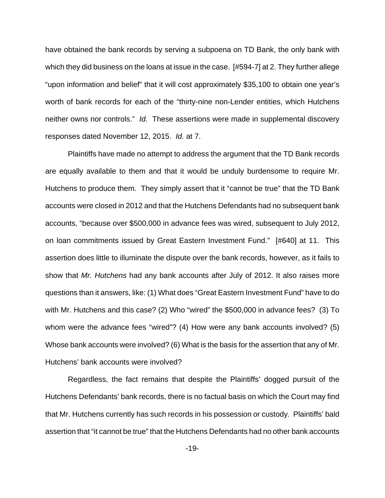have obtained the bank records by serving a subpoena on TD Bank, the only bank with which they did business on the loans at issue in the case. [#594-7] at 2. They further allege "upon information and belief" that it will cost approximately \$35,100 to obtain one year's worth of bank records for each of the "thirty-nine non-Lender entities, which Hutchens neither owns nor controls." Id. These assertions were made in supplemental discovery responses dated November 12, 2015. Id. at 7.

Plaintiffs have made no attempt to address the argument that the TD Bank records are equally available to them and that it would be unduly burdensome to require Mr. Hutchens to produce them. They simply assert that it "cannot be true" that the TD Bank accounts were closed in 2012 and that the Hutchens Defendants had no subsequent bank accounts, "because over \$500,000 in advance fees was wired, subsequent to July 2012, on loan commitments issued by Great Eastern Investment Fund." [#640] at 11. This assertion does little to illuminate the dispute over the bank records, however, as it fails to show that *Mr. Hutchens* had any bank accounts after July of 2012. It also raises more questions than it answers, like: (1) What does "Great Eastern Investment Fund" have to do with Mr. Hutchens and this case? (2) Who "wired" the \$500,000 in advance fees? (3) To whom were the advance fees "wired"? (4) How were any bank accounts involved? (5) Whose bank accounts were involved? (6) What is the basis for the assertion that any of Mr. Hutchens' bank accounts were involved?

Regardless, the fact remains that despite the Plaintiffs' dogged pursuit of the Hutchens Defendants' bank records, there is no factual basis on which the Court may find that Mr. Hutchens currently has such records in his possession or custody. Plaintiffs' bald assertion that "it cannot be true" that the Hutchens Defendants had no other bank accounts

-19-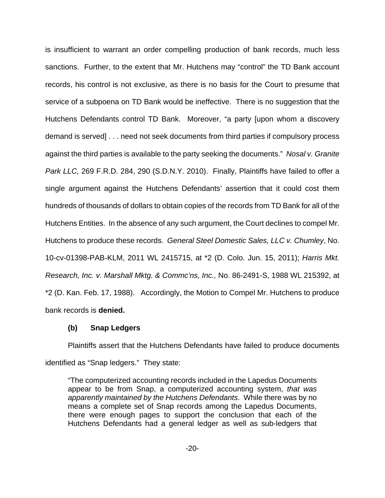is insufficient to warrant an order compelling production of bank records, much less sanctions. Further, to the extent that Mr. Hutchens may "control" the TD Bank account records, his control is not exclusive, as there is no basis for the Court to presume that service of a subpoena on TD Bank would be ineffective. There is no suggestion that the Hutchens Defendants control TD Bank. Moreover, "a party [upon whom a discovery demand is served] . . . need not seek documents from third parties if compulsory process against the third parties is available to the party seeking the documents." Nosal v. Granite Park LLC, 269 F.R.D. 284, 290 (S.D.N.Y. 2010). Finally, Plaintiffs have failed to offer a single argument against the Hutchens Defendants' assertion that it could cost them hundreds of thousands of dollars to obtain copies of the records from TD Bank for all of the Hutchens Entities. In the absence of any such argument, the Court declines to compel Mr. Hutchens to produce these records. General Steel Domestic Sales, LLC v. Chumley, No. 10-cv-01398-PAB-KLM, 2011 WL 2415715, at \*2 (D. Colo. Jun. 15, 2011); Harris Mkt. Research, Inc. v. Marshall Mktg. & Commc'ns, Inc., No. 86-2491-S, 1988 WL 215392, at \*2 (D. Kan. Feb. 17, 1988). Accordingly, the Motion to Compel Mr. Hutchens to produce bank records is **denied.**

### **(b) Snap Ledgers**

Plaintiffs assert that the Hutchens Defendants have failed to produce documents identified as "Snap ledgers." They state:

"The computerized accounting records included in the Lapedus Documents appear to be from Snap, a computerized accounting system, that was apparently maintained by the Hutchens Defendants. While there was by no means a complete set of Snap records among the Lapedus Documents, there were enough pages to support the conclusion that each of the Hutchens Defendants had a general ledger as well as sub-ledgers that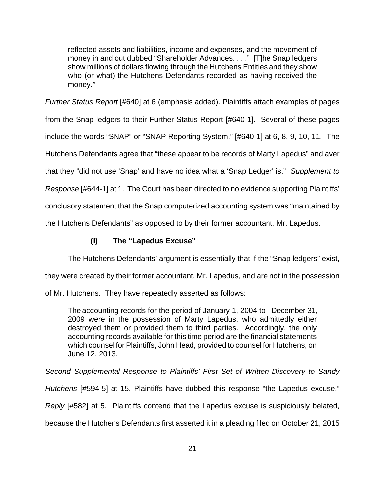reflected assets and liabilities, income and expenses, and the movement of money in and out dubbed "Shareholder Advances. . . ." [T]he Snap ledgers show millions of dollars flowing through the Hutchens Entities and they show who (or what) the Hutchens Defendants recorded as having received the money."

Further Status Report [#640] at 6 (emphasis added). Plaintiffs attach examples of pages from the Snap ledgers to their Further Status Report [#640-1]. Several of these pages include the words "SNAP" or "SNAP Reporting System." [#640-1] at 6, 8, 9, 10, 11. The Hutchens Defendants agree that "these appear to be records of Marty Lapedus" and aver that they "did not use 'Snap' and have no idea what a 'Snap Ledger' is." Supplement to Response [#644-1] at 1. The Court has been directed to no evidence supporting Plaintiffs' conclusory statement that the Snap computerized accounting system was "maintained by

the Hutchens Defendants" as opposed to by their former accountant, Mr. Lapedus.

# **(I) The "Lapedus Excuse"**

The Hutchens Defendants' argument is essentially that if the "Snap ledgers" exist,

they were created by their former accountant, Mr. Lapedus, and are not in the possession

of Mr. Hutchens. They have repeatedly asserted as follows:

The accounting records for the period of January 1, 2004 to December 31, 2009 were in the possession of Marty Lapedus, who admittedly either destroyed them or provided them to third parties. Accordingly, the only accounting records available for this time period are the financial statements which counsel for Plaintiffs, John Head, provided to counsel for Hutchens, on June 12, 2013.

Second Supplemental Response to Plaintiffs' First Set of Written Discovery to Sandy

Hutchens [#594-5] at 15. Plaintiffs have dubbed this response "the Lapedus excuse."

Reply [#582] at 5. Plaintiffs contend that the Lapedus excuse is suspiciously belated,

because the Hutchens Defendants first asserted it in a pleading filed on October 21, 2015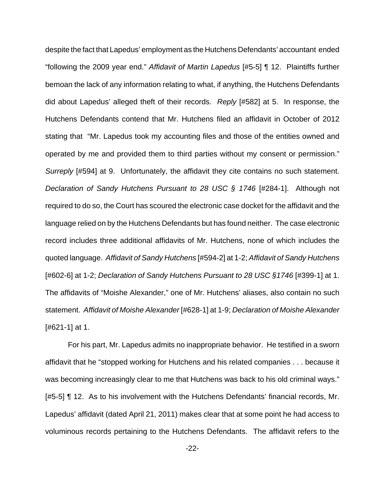despite the fact that Lapedus' employment as the Hutchens Defendants' accountant ended "following the 2009 year end." Affidavit of Martin Lapedus [#5-5] ¶ 12. Plaintiffs further bemoan the lack of any information relating to what, if anything, the Hutchens Defendants did about Lapedus' alleged theft of their records. Reply [#582] at 5. In response, the Hutchens Defendants contend that Mr. Hutchens filed an affidavit in October of 2012 stating that "Mr. Lapedus took my accounting files and those of the entities owned and operated by me and provided them to third parties without my consent or permission." Surreply [#594] at 9. Unfortunately, the affidavit they cite contains no such statement. Declaration of Sandy Hutchens Pursuant to 28 USC § 1746 [#284-1]. Although not required to do so, the Court has scoured the electronic case docket for the affidavit and the language relied on by the Hutchens Defendants but has found neither. The case electronic record includes three additional affidavits of Mr. Hutchens, none of which includes the quoted language. Affidavit of Sandy Hutchens [#594-2] at 1-2; Affidavit of Sandy Hutchens [#602-6] at 1-2; Declaration of Sandy Hutchens Pursuant to 28 USC §1746 [#399-1] at 1. The affidavits of "Moishe Alexander," one of Mr. Hutchens' aliases, also contain no such statement. Affidavit of Moishe Alexander [#628-1] at 1-9; Declaration of Moishe Alexander [#621-1] at 1.

For his part, Mr. Lapedus admits no inappropriate behavior. He testified in a sworn affidavit that he "stopped working for Hutchens and his related companies . . . because it was becoming increasingly clear to me that Hutchens was back to his old criminal ways." [#5-5] ¶ 12. As to his involvement with the Hutchens Defendants' financial records, Mr. Lapedus' affidavit (dated April 21, 2011) makes clear that at some point he had access to voluminous records pertaining to the Hutchens Defendants. The affidavit refers to the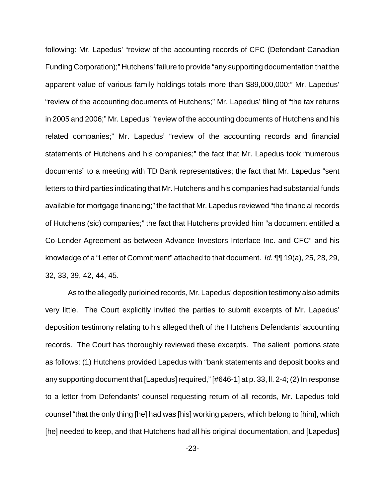following: Mr. Lapedus' "review of the accounting records of CFC (Defendant Canadian Funding Corporation);" Hutchens' failure to provide "any supporting documentation that the apparent value of various family holdings totals more than \$89,000,000;" Mr. Lapedus' "review of the accounting documents of Hutchens;" Mr. Lapedus' filing of "the tax returns in 2005 and 2006;" Mr. Lapedus' "review of the accounting documents of Hutchens and his related companies;" Mr. Lapedus' "review of the accounting records and financial statements of Hutchens and his companies;" the fact that Mr. Lapedus took "numerous documents" to a meeting with TD Bank representatives; the fact that Mr. Lapedus "sent letters to third parties indicating that Mr. Hutchens and his companies had substantial funds available for mortgage financing;" the fact that Mr. Lapedus reviewed "the financial records of Hutchens (sic) companies;" the fact that Hutchens provided him "a document entitled a Co-Lender Agreement as between Advance Investors Interface Inc. and CFC" and his knowledge of a "Letter of Commitment" attached to that document. Id. ¶¶ 19(a), 25, 28, 29, 32, 33, 39, 42, 44, 45.

As to the allegedly purloined records, Mr. Lapedus' deposition testimony also admits very little. The Court explicitly invited the parties to submit excerpts of Mr. Lapedus' deposition testimony relating to his alleged theft of the Hutchens Defendants' accounting records. The Court has thoroughly reviewed these excerpts. The salient portions state as follows: (1) Hutchens provided Lapedus with "bank statements and deposit books and any supporting document that [Lapedus] required," [#646-1] at p. 33, ll. 2-4; (2) In response to a letter from Defendants' counsel requesting return of all records, Mr. Lapedus told counsel "that the only thing [he] had was [his] working papers, which belong to [him], which [he] needed to keep, and that Hutchens had all his original documentation, and [Lapedus]

-23-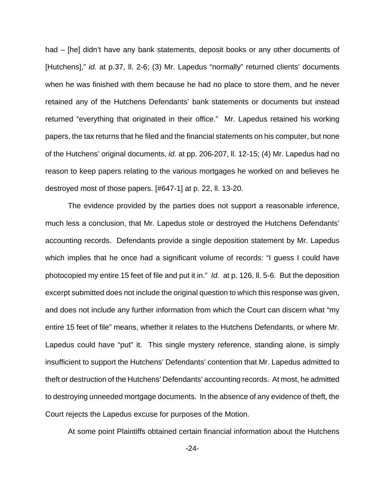had – [he] didn't have any bank statements, deposit books or any other documents of [Hutchens]," id. at p.37, ll. 2-6; (3) Mr. Lapedus "normally" returned clients' documents when he was finished with them because he had no place to store them, and he never retained any of the Hutchens Defendants' bank statements or documents but instead returned "everything that originated in their office." Mr. Lapedus retained his working papers, the tax returns that he filed and the financial statements on his computer, but none of the Hutchens' original documents, id. at pp. 206-207, ll. 12-15; (4) Mr. Lapedus had no reason to keep papers relating to the various mortgages he worked on and believes he destroyed most of those papers. [#647-1] at p. 22, ll. 13-20.

The evidence provided by the parties does not support a reasonable inference, much less a conclusion, that Mr. Lapedus stole or destroyed the Hutchens Defendants' accounting records. Defendants provide a single deposition statement by Mr. Lapedus which implies that he once had a significant volume of records: "I guess I could have photocopied my entire 15 feet of file and put it in." Id. at p. 126, ll. 5-6. But the deposition excerpt submitted does not include the original question to which this response was given, and does not include any further information from which the Court can discern what "my entire 15 feet of file" means, whether it relates to the Hutchens Defendants, or where Mr. Lapedus could have "put" it. This single mystery reference, standing alone, is simply insufficient to support the Hutchens' Defendants' contention that Mr. Lapedus admitted to theft or destruction of the Hutchens' Defendants' accounting records. At most, he admitted to destroying unneeded mortgage documents. In the absence of any evidence of theft, the Court rejects the Lapedus excuse for purposes of the Motion.

At some point Plaintiffs obtained certain financial information about the Hutchens

-24-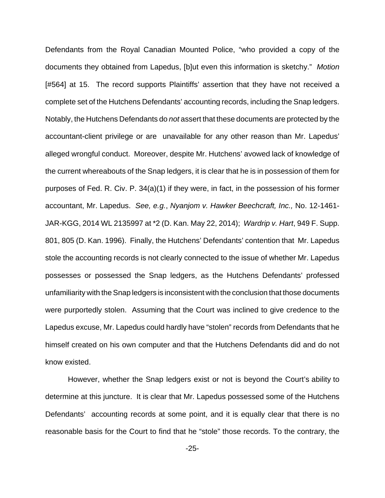Defendants from the Royal Canadian Mounted Police, "who provided a copy of the documents they obtained from Lapedus, [b]ut even this information is sketchy." Motion [#564] at 15. The record supports Plaintiffs' assertion that they have not received a complete set of the Hutchens Defendants' accounting records, including the Snap ledgers. Notably, the Hutchens Defendants do *not* assert that these documents are protected by the accountant-client privilege or are unavailable for any other reason than Mr. Lapedus' alleged wrongful conduct. Moreover, despite Mr. Hutchens' avowed lack of knowledge of the current whereabouts of the Snap ledgers, it is clear that he is in possession of them for purposes of Fed. R. Civ. P. 34(a)(1) if they were, in fact, in the possession of his former accountant, Mr. Lapedus. See, e.g., Nyanjom v. Hawker Beechcraft, Inc., No. 12-1461- JAR-KGG, 2014 WL 2135997 at \*2 (D. Kan. May 22, 2014); Wardrip v. Hart, 949 F. Supp. 801, 805 (D. Kan. 1996). Finally, the Hutchens' Defendants' contention that Mr. Lapedus stole the accounting records is not clearly connected to the issue of whether Mr. Lapedus possesses or possessed the Snap ledgers, as the Hutchens Defendants' professed unfamiliarity with the Snap ledgers is inconsistent with the conclusion that those documents were purportedly stolen. Assuming that the Court was inclined to give credence to the Lapedus excuse, Mr. Lapedus could hardly have "stolen" records from Defendants that he himself created on his own computer and that the Hutchens Defendants did and do not know existed.

 However, whether the Snap ledgers exist or not is beyond the Court's ability to determine at this juncture. It is clear that Mr. Lapedus possessed some of the Hutchens Defendants' accounting records at some point, and it is equally clear that there is no reasonable basis for the Court to find that he "stole" those records. To the contrary, the

-25-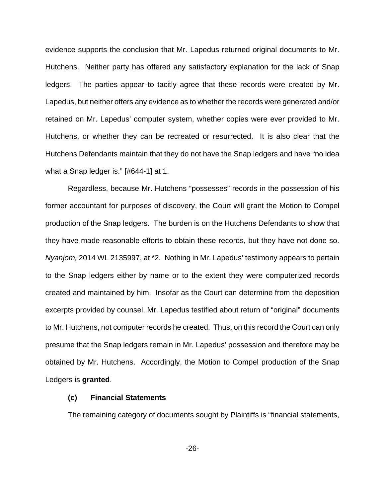evidence supports the conclusion that Mr. Lapedus returned original documents to Mr. Hutchens. Neither party has offered any satisfactory explanation for the lack of Snap ledgers. The parties appear to tacitly agree that these records were created by Mr. Lapedus, but neither offers any evidence as to whether the records were generated and/or retained on Mr. Lapedus' computer system, whether copies were ever provided to Mr. Hutchens, or whether they can be recreated or resurrected. It is also clear that the Hutchens Defendants maintain that they do not have the Snap ledgers and have "no idea what a Snap ledger is." [#644-1] at 1.

Regardless, because Mr. Hutchens "possesses" records in the possession of his former accountant for purposes of discovery, the Court will grant the Motion to Compel production of the Snap ledgers. The burden is on the Hutchens Defendants to show that they have made reasonable efforts to obtain these records, but they have not done so. Nyanjom, 2014 WL 2135997, at \*2. Nothing in Mr. Lapedus' testimony appears to pertain to the Snap ledgers either by name or to the extent they were computerized records created and maintained by him. Insofar as the Court can determine from the deposition excerpts provided by counsel, Mr. Lapedus testified about return of "original" documents to Mr. Hutchens, not computer records he created. Thus, on this record the Court can only presume that the Snap ledgers remain in Mr. Lapedus' possession and therefore may be obtained by Mr. Hutchens. Accordingly, the Motion to Compel production of the Snap Ledgers is **granted**.

### **(c) Financial Statements**

The remaining category of documents sought by Plaintiffs is "financial statements,

-26-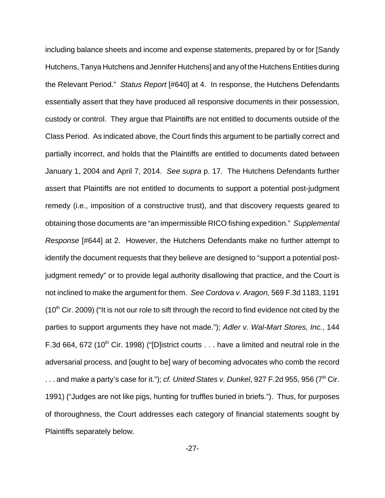including balance sheets and income and expense statements, prepared by or for [Sandy Hutchens, Tanya Hutchens and Jennifer Hutchens] and any of the Hutchens Entities during the Relevant Period." Status Report [#640] at 4. In response, the Hutchens Defendants essentially assert that they have produced all responsive documents in their possession, custody or control. They argue that Plaintiffs are not entitled to documents outside of the Class Period. As indicated above, the Court finds this argument to be partially correct and partially incorrect, and holds that the Plaintiffs are entitled to documents dated between January 1, 2004 and April 7, 2014. See supra p. 17. The Hutchens Defendants further assert that Plaintiffs are not entitled to documents to support a potential post-judgment remedy (i.e., imposition of a constructive trust), and that discovery requests geared to obtaining those documents are "an impermissible RICO fishing expedition." Supplemental Response [#644] at 2. However, the Hutchens Defendants make no further attempt to identify the document requests that they believe are designed to "support a potential postjudgment remedy" or to provide legal authority disallowing that practice, and the Court is not inclined to make the argument for them. See Cordova v. Aragon, 569 F.3d 1183, 1191  $(10<sup>th</sup>$  Cir. 2009) ("It is not our role to sift through the record to find evidence not cited by the parties to support arguments they have not made."); Adler v. Wal-Mart Stores, Inc., 144 F.3d 664, 672 (10<sup>th</sup> Cir. 1998) ("[D]istrict courts . . . have a limited and neutral role in the adversarial process, and [ought to be] wary of becoming advocates who comb the record ... and make a party's case for it."); cf. United States v. Dunkel, 927 F.2d 955, 956 ( $7<sup>th</sup>$  Cir. 1991) ("Judges are not like pigs, hunting for truffles buried in briefs."). Thus, for purposes of thoroughness, the Court addresses each category of financial statements sought by Plaintiffs separately below.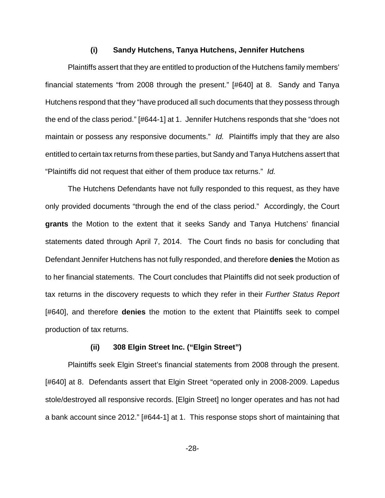#### **(i) Sandy Hutchens, Tanya Hutchens, Jennifer Hutchens**

Plaintiffs assert that they are entitled to production of the Hutchens family members' financial statements "from 2008 through the present." [#640] at 8. Sandy and Tanya Hutchens respond that they "have produced all such documents that they possess through the end of the class period." [#644-1] at 1. Jennifer Hutchens responds that she "does not maintain or possess any responsive documents." Id. Plaintiffs imply that they are also entitled to certain tax returns from these parties, but Sandy and Tanya Hutchens assert that "Plaintiffs did not request that either of them produce tax returns." Id.

The Hutchens Defendants have not fully responded to this request, as they have only provided documents "through the end of the class period." Accordingly, the Court **grants** the Motion to the extent that it seeks Sandy and Tanya Hutchens' financial statements dated through April 7, 2014.The Court finds no basis for concluding that Defendant Jennifer Hutchens has not fully responded, and therefore **denies** the Motion as to her financial statements. The Court concludes that Plaintiffs did not seek production of tax returns in the discovery requests to which they refer in their Further Status Report [#640], and therefore **denies** the motion to the extent that Plaintiffs seek to compel production of tax returns.

#### **(ii) 308 Elgin Street Inc. ("Elgin Street")**

Plaintiffs seek Elgin Street's financial statements from 2008 through the present. [#640] at 8. Defendants assert that Elgin Street "operated only in 2008-2009. Lapedus stole/destroyed all responsive records. [Elgin Street] no longer operates and has not had a bank account since 2012." [#644-1] at 1. This response stops short of maintaining that

-28-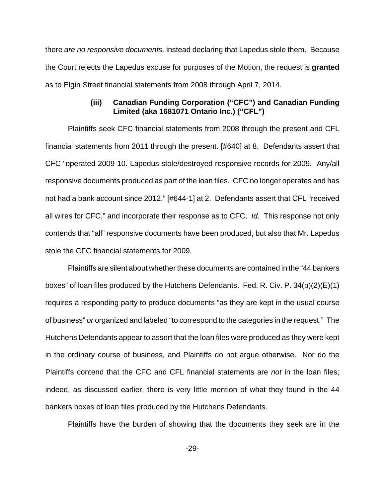there are no responsive documents, instead declaring that Lapedus stole them. Because the Court rejects the Lapedus excuse for purposes of the Motion, the request is **granted** as to Elgin Street financial statements from 2008 through April 7, 2014.

### **(iii) Canadian Funding Corporation ("CFC") and Canadian Funding Limited (aka 1681071 Ontario Inc.) ("CFL")**

Plaintiffs seek CFC financial statements from 2008 through the present and CFL financial statements from 2011 through the present. [#640] at 8. Defendants assert that CFC "operated 2009-10. Lapedus stole/destroyed responsive records for 2009. Any/all responsive documents produced as part of the loan files. CFC no longer operates and has not had a bank account since 2012." [#644-1] at 2. Defendants assert that CFL "received all wires for CFC," and incorporate their response as to CFC. Id. This response not only contends that "all" responsive documents have been produced, but also that Mr. Lapedus stole the CFC financial statements for 2009.

Plaintiffs are silent about whether these documents are contained in the "44 bankers boxes" of loan files produced by the Hutchens Defendants. Fed. R. Civ. P. 34(b)(2)(E)(1) requires a responding party to produce documents "as they are kept in the usual course of business" or organized and labeled "to correspond to the categories in the request." The Hutchens Defendants appear to assert that the loan files were produced as they were kept in the ordinary course of business, and Plaintiffs do not argue otherwise. Nor do the Plaintiffs contend that the CFC and CFL financial statements are not in the loan files; indeed, as discussed earlier, there is very little mention of what they found in the 44 bankers boxes of loan files produced by the Hutchens Defendants.

Plaintiffs have the burden of showing that the documents they seek are in the

-29-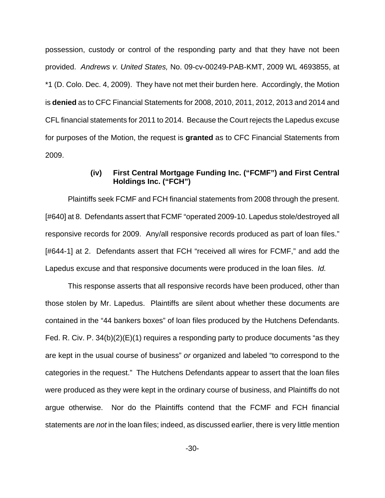possession, custody or control of the responding party and that they have not been provided. Andrews v. United States, No. 09-cv-00249-PAB-KMT, 2009 WL 4693855, at \*1 (D. Colo. Dec. 4, 2009). They have not met their burden here.Accordingly, the Motion is **denied** as to CFC Financial Statements for 2008, 2010, 2011, 2012, 2013 and 2014 and CFL financial statements for 2011 to 2014. Because the Court rejects the Lapedus excuse for purposes of the Motion, the request is **granted** as to CFC Financial Statements from 2009.

### **(iv) First Central Mortgage Funding Inc. ("FCMF") and First Central Holdings Inc. ("FCH")**

Plaintiffs seek FCMF and FCH financial statements from 2008 through the present. [#640] at 8. Defendants assert that FCMF "operated 2009-10. Lapedus stole/destroyed all responsive records for 2009. Any/all responsive records produced as part of loan files." [#644-1] at 2. Defendants assert that FCH "received all wires for FCMF," and add the Lapedus excuse and that responsive documents were produced in the loan files. Id.

This response asserts that all responsive records have been produced, other than those stolen by Mr. Lapedus. Plaintiffs are silent about whether these documents are contained in the "44 bankers boxes" of loan files produced by the Hutchens Defendants. Fed. R. Civ. P. 34(b)(2)(E)(1) requires a responding party to produce documents "as they are kept in the usual course of business" or organized and labeled "to correspond to the categories in the request." The Hutchens Defendants appear to assert that the loan files were produced as they were kept in the ordinary course of business, and Plaintiffs do not argue otherwise. Nor do the Plaintiffs contend that the FCMF and FCH financial statements are not in the loan files; indeed, as discussed earlier, there is very little mention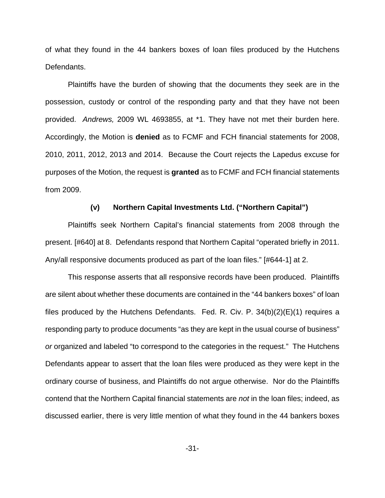of what they found in the 44 bankers boxes of loan files produced by the Hutchens Defendants.

Plaintiffs have the burden of showing that the documents they seek are in the possession, custody or control of the responding party and that they have not been provided. Andrews, 2009 WL 4693855, at \*1. They have not met their burden here. Accordingly, the Motion is **denied** as to FCMF and FCH financial statements for 2008, 2010, 2011, 2012, 2013 and 2014. Because the Court rejects the Lapedus excuse for purposes of the Motion, the request is **granted** as to FCMF and FCH financial statements from 2009.

#### **(v) Northern Capital Investments Ltd. ("Northern Capital")**

Plaintiffs seek Northern Capital's financial statements from 2008 through the present. [#640] at 8. Defendants respond that Northern Capital "operated briefly in 2011. Any/all responsive documents produced as part of the loan files." [#644-1] at 2.

This response asserts that all responsive records have been produced. Plaintiffs are silent about whether these documents are contained in the "44 bankers boxes" of loan files produced by the Hutchens Defendants. Fed. R. Civ. P. 34(b)(2)(E)(1) requires a responding party to produce documents "as they are kept in the usual course of business" or organized and labeled "to correspond to the categories in the request." The Hutchens Defendants appear to assert that the loan files were produced as they were kept in the ordinary course of business, and Plaintiffs do not argue otherwise. Nor do the Plaintiffs contend that the Northern Capital financial statements are not in the loan files; indeed, as discussed earlier, there is very little mention of what they found in the 44 bankers boxes

-31-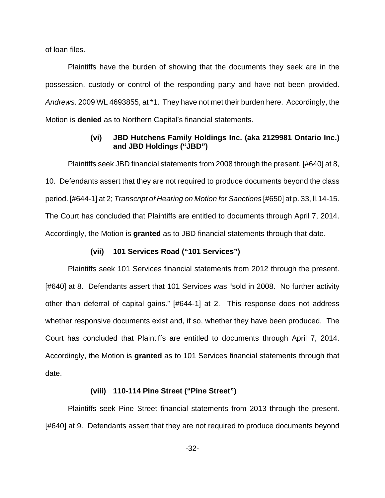of loan files.

Plaintiffs have the burden of showing that the documents they seek are in the possession, custody or control of the responding party and have not been provided. Andrews, 2009 WL 4693855, at \*1. They have not met their burden here.Accordingly, the Motion is **denied** as to Northern Capital's financial statements.

### **(vi) JBD Hutchens Family Holdings Inc. (aka 2129981 Ontario Inc.) and JBD Holdings ("JBD")**

Plaintiffs seek JBD financial statements from 2008 through the present. [#640] at 8, 10. Defendants assert that they are not required to produce documents beyond the class period. [#644-1] at 2; Transcript of Hearing on Motion for Sanctions [#650] at p. 33, ll.14-15. The Court has concluded that Plaintiffs are entitled to documents through April 7, 2014. Accordingly, the Motion is **granted** as to JBD financial statements through that date.

#### **(vii) 101 Services Road ("101 Services")**

Plaintiffs seek 101 Services financial statements from 2012 through the present. [#640] at 8. Defendants assert that 101 Services was "sold in 2008. No further activity other than deferral of capital gains." [#644-1] at 2. This response does not address whether responsive documents exist and, if so, whether they have been produced. The Court has concluded that Plaintiffs are entitled to documents through April 7, 2014. Accordingly, the Motion is **granted** as to 101 Services financial statements through that date.

### **(viii) 110-114 Pine Street ("Pine Street")**

Plaintiffs seek Pine Street financial statements from 2013 through the present. [#640] at 9. Defendants assert that they are not required to produce documents beyond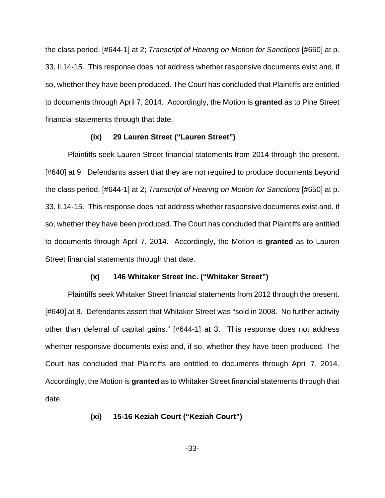the class period. [#644-1] at 2; Transcript of Hearing on Motion for Sanctions [#650] at p. 33, ll.14-15. This response does not address whether responsive documents exist and, if so, whether they have been produced. The Court has concluded that Plaintiffs are entitled to documents through April 7, 2014. Accordingly, the Motion is **granted** as to Pine Street financial statements through that date.

#### **(ix) 29 Lauren Street ("Lauren Street")**

Plaintiffs seek Lauren Street financial statements from 2014 through the present. [#640] at 9. Defendants assert that they are not required to produce documents beyond the class period. [#644-1] at 2; Transcript of Hearing on Motion for Sanctions [#650] at p. 33, ll.14-15. This response does not address whether responsive documents exist and, if so, whether they have been produced. The Court has concluded that Plaintiffs are entitled to documents through April 7, 2014. Accordingly, the Motion is **granted** as to Lauren Street financial statements through that date.

### **(x) 146 Whitaker Street Inc. ("Whitaker Street")**

Plaintiffs seek Whitaker Street financial statements from 2012 through the present. [#640] at 8. Defendants assert that Whitaker Street was "sold in 2008. No further activity other than deferral of capital gains." [#644-1] at 3. This response does not address whether responsive documents exist and, if so, whether they have been produced. The Court has concluded that Plaintiffs are entitled to documents through April 7, 2014. Accordingly, the Motion is **granted** as to Whitaker Street financial statements through that date.

### **(xi) 15-16 Keziah Court ("Keziah Court")**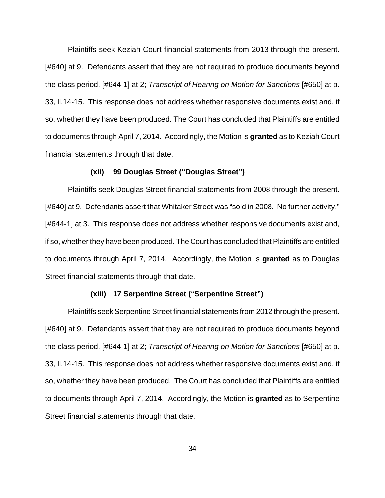Plaintiffs seek Keziah Court financial statements from 2013 through the present. [#640] at 9. Defendants assert that they are not required to produce documents beyond the class period. [#644-1] at 2; Transcript of Hearing on Motion for Sanctions [#650] at p. 33, ll.14-15. This response does not address whether responsive documents exist and, if so, whether they have been produced. The Court has concluded that Plaintiffs are entitled to documents through April 7, 2014. Accordingly, the Motion is **granted** as to Keziah Court financial statements through that date.

#### **(xii) 99 Douglas Street ("Douglas Street")**

Plaintiffs seek Douglas Street financial statements from 2008 through the present. [#640] at 9. Defendants assert that Whitaker Street was "sold in 2008. No further activity." [#644-1] at 3. This response does not address whether responsive documents exist and, if so, whether they have been produced. The Court has concluded that Plaintiffs are entitled to documents through April 7, 2014. Accordingly, the Motion is **granted** as to Douglas Street financial statements through that date.

#### **(xiii) 17 Serpentine Street ("Serpentine Street")**

Plaintiffs seek Serpentine Street financial statements from 2012 through the present. [#640] at 9. Defendants assert that they are not required to produce documents beyond the class period. [#644-1] at 2; Transcript of Hearing on Motion for Sanctions [#650] at p. 33, ll.14-15. This response does not address whether responsive documents exist and, if so, whether they have been produced. The Court has concluded that Plaintiffs are entitled to documents through April 7, 2014. Accordingly, the Motion is **granted** as to Serpentine Street financial statements through that date.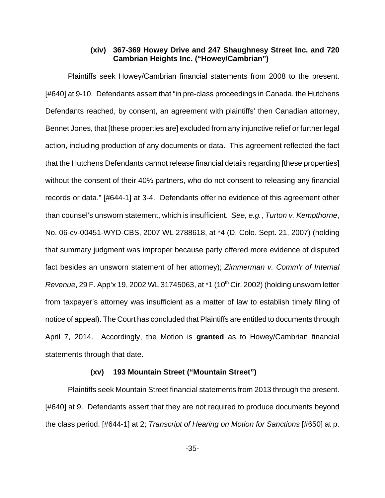### **(xiv) 367-369 Howey Drive and 247 Shaughnesy Street Inc. and 720 Cambrian Heights Inc. ("Howey/Cambrian")**

Plaintiffs seek Howey/Cambrian financial statements from 2008 to the present. [#640] at 9-10. Defendants assert that "in pre-class proceedings in Canada, the Hutchens Defendants reached, by consent, an agreement with plaintiffs' then Canadian attorney, Bennet Jones, that [these properties are] excluded from any injunctive relief or further legal action, including production of any documents or data. This agreement reflected the fact that the Hutchens Defendants cannot release financial details regarding [these properties] without the consent of their 40% partners, who do not consent to releasing any financial records or data." [#644-1] at 3-4. Defendants offer no evidence of this agreement other than counsel's unsworn statement, which is insufficient. See, e.g., Turton v. Kempthorne, No. 06-cv-00451-WYD-CBS, 2007 WL 2788618, at \*4 (D. Colo. Sept. 21, 2007) (holding that summary judgment was improper because party offered more evidence of disputed fact besides an unsworn statement of her attorney); Zimmerman v. Comm'r of Internal Revenue, 29 F. App'x 19, 2002 WL 31745063, at \*1 (10<sup>th</sup> Cir. 2002) (holding unsworn letter from taxpayer's attorney was insufficient as a matter of law to establish timely filing of notice of appeal). The Court has concluded that Plaintiffs are entitled to documents through April 7, 2014. Accordingly, the Motion is **granted** as to Howey/Cambrian financial statements through that date.

### **(xv) 193 Mountain Street ("Mountain Street")**

Plaintiffs seek Mountain Street financial statements from 2013 through the present. [#640] at 9. Defendants assert that they are not required to produce documents beyond the class period. [#644-1] at 2; Transcript of Hearing on Motion for Sanctions [#650] at p.

-35-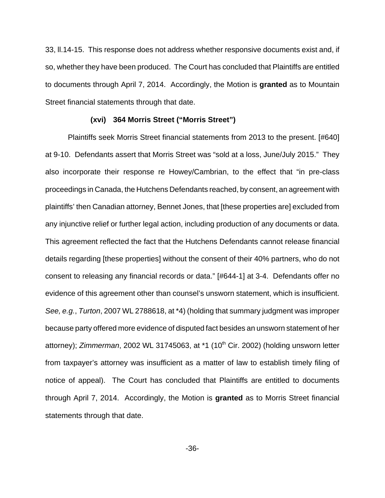33, ll.14-15. This response does not address whether responsive documents exist and, if so, whether they have been produced. The Court has concluded that Plaintiffs are entitled to documents through April 7, 2014. Accordingly, the Motion is **granted** as to Mountain Street financial statements through that date.

#### **(xvi) 364 Morris Street ("Morris Street")**

Plaintiffs seek Morris Street financial statements from 2013 to the present. [#640] at 9-10. Defendants assert that Morris Street was "sold at a loss, June/July 2015." They also incorporate their response re Howey/Cambrian, to the effect that "in pre-class proceedings in Canada, the Hutchens Defendants reached, by consent, an agreement with plaintiffs' then Canadian attorney, Bennet Jones, that [these properties are] excluded from any injunctive relief or further legal action, including production of any documents or data. This agreement reflected the fact that the Hutchens Defendants cannot release financial details regarding [these properties] without the consent of their 40% partners, who do not consent to releasing any financial records or data." [#644-1] at 3-4. Defendants offer no evidence of this agreement other than counsel's unsworn statement, which is insufficient. See, e.g., Turton, 2007 WL 2788618, at \*4) (holding that summary judgment was improper because party offered more evidence of disputed fact besides an unsworn statement of her attorney); Zimmerman, 2002 WL 31745063, at  $*1$  (10<sup>th</sup> Cir. 2002) (holding unsworn letter from taxpayer's attorney was insufficient as a matter of law to establish timely filing of notice of appeal). The Court has concluded that Plaintiffs are entitled to documents through April 7, 2014. Accordingly, the Motion is **granted** as to Morris Street financial statements through that date.

-36-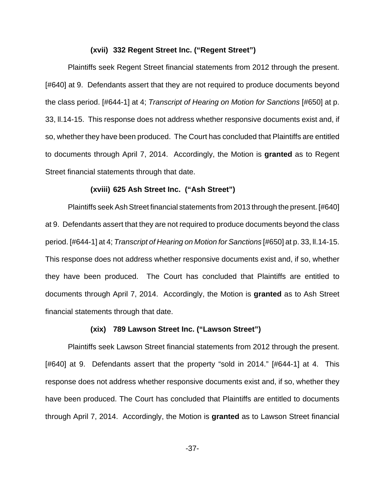#### **(xvii) 332 Regent Street Inc. ("Regent Street")**

Plaintiffs seek Regent Street financial statements from 2012 through the present. [#640] at 9. Defendants assert that they are not required to produce documents beyond the class period. [#644-1] at 4; Transcript of Hearing on Motion for Sanctions [#650] at p. 33, ll.14-15. This response does not address whether responsive documents exist and, if so, whether they have been produced. The Court has concluded that Plaintiffs are entitled to documents through April 7, 2014. Accordingly, the Motion is **granted** as to Regent Street financial statements through that date.

#### **(xviii) 625 Ash Street Inc. ("Ash Street")**

Plaintiffs seek Ash Street financial statements from 2013 through the present. [#640] at 9. Defendants assert that they are not required to produce documents beyond the class period. [#644-1] at 4; Transcript of Hearing on Motion for Sanctions [#650] at p. 33, ll.14-15. This response does not address whether responsive documents exist and, if so, whether they have been produced. The Court has concluded that Plaintiffs are entitled to documents through April 7, 2014. Accordingly, the Motion is **granted** as to Ash Street financial statements through that date.

### **(xix) 789 Lawson Street Inc. ("Lawson Street")**

Plaintiffs seek Lawson Street financial statements from 2012 through the present. [#640] at 9. Defendants assert that the property "sold in 2014." [#644-1] at 4. This response does not address whether responsive documents exist and, if so, whether they have been produced. The Court has concluded that Plaintiffs are entitled to documents through April 7, 2014. Accordingly, the Motion is **granted** as to Lawson Street financial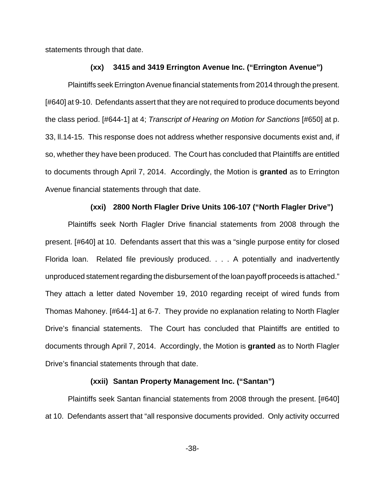statements through that date.

#### **(xx) 3415 and 3419 Errington Avenue Inc. ("Errington Avenue")**

Plaintiffs seek Errington Avenue financial statements from 2014 through the present. [#640] at 9-10. Defendants assert that they are not required to produce documents beyond the class period. [#644-1] at 4; Transcript of Hearing on Motion for Sanctions [#650] at p. 33, ll.14-15. This response does not address whether responsive documents exist and, if so, whether they have been produced. The Court has concluded that Plaintiffs are entitled to documents through April 7, 2014. Accordingly, the Motion is **granted** as to Errington Avenue financial statements through that date.

#### **(xxi) 2800 North Flagler Drive Units 106-107 ("North Flagler Drive")**

Plaintiffs seek North Flagler Drive financial statements from 2008 through the present. [#640] at 10. Defendants assert that this was a "single purpose entity for closed Florida loan. Related file previously produced. . . . A potentially and inadvertently unproduced statement regarding the disbursement of the loan payoff proceeds is attached." They attach a letter dated November 19, 2010 regarding receipt of wired funds from Thomas Mahoney. [#644-1] at 6-7. They provide no explanation relating to North Flagler Drive's financial statements. The Court has concluded that Plaintiffs are entitled to documents through April 7, 2014. Accordingly, the Motion is **granted** as to North Flagler Drive's financial statements through that date.

### **(xxii) Santan Property Management Inc. ("Santan")**

Plaintiffs seek Santan financial statements from 2008 through the present. [#640] at 10. Defendants assert that "all responsive documents provided. Only activity occurred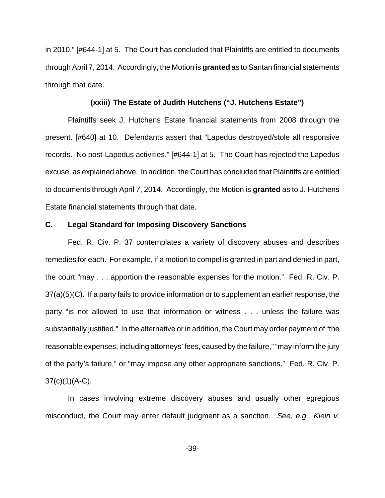in 2010." [#644-1] at 5. The Court has concluded that Plaintiffs are entitled to documents through April 7, 2014. Accordingly, the Motion is **granted** as to Santan financial statements through that date.

#### **(xxiii) The Estate of Judith Hutchens ("J. Hutchens Estate")**

Plaintiffs seek J. Hutchens Estate financial statements from 2008 through the present. [#640] at 10. Defendants assert that "Lapedus destroyed/stole all responsive records. No post-Lapedus activities." [#644-1] at 5. The Court has rejected the Lapedus excuse, as explained above. In addition, the Court has concluded that Plaintiffs are entitled to documents through April 7, 2014. Accordingly, the Motion is **granted** as to J. Hutchens Estate financial statements through that date.

### **C. Legal Standard for Imposing Discovery Sanctions**

Fed. R. Civ. P. 37 contemplates a variety of discovery abuses and describes remedies for each. For example, if a motion to compel is granted in part and denied in part, the court "may . . . apportion the reasonable expenses for the motion." Fed. R. Civ. P. 37(a)(5)(C). If a party fails to provide information or to supplement an earlier response, the party "is not allowed to use that information or witness . . . unless the failure was substantially justified." In the alternative or in addition, the Court may order payment of "the reasonable expenses, including attorneys' fees, caused by the failure," "may inform the jury of the party's failure," or "may impose any other appropriate sanctions." Fed. R. Civ. P. 37(c)(1)(A-C).

In cases involving extreme discovery abuses and usually other egregious misconduct, the Court may enter default judgment as a sanction. See, e.g., Klein v.

-39-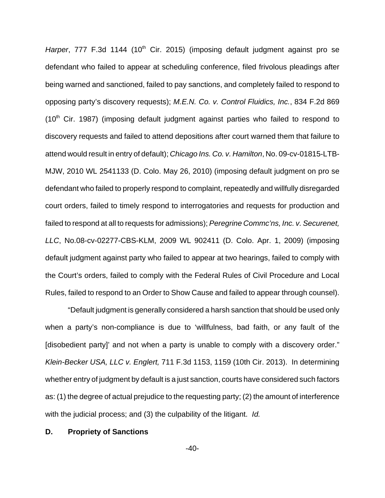Harper,  $777$  F.3d  $1144$  ( $10<sup>th</sup>$  Cir. 2015) (imposing default judgment against pro se defendant who failed to appear at scheduling conference, filed frivolous pleadings after being warned and sanctioned, failed to pay sanctions, and completely failed to respond to opposing party's discovery requests); M.E.N. Co. v. Control Fluidics, Inc., 834 F.2d 869  $(10<sup>th</sup>$  Cir. 1987) (imposing default judgment against parties who failed to respond to discovery requests and failed to attend depositions after court warned them that failure to attend would result in entry of default); Chicago Ins. Co. v. Hamilton, No. 09-cv-01815-LTB-MJW, 2010 WL 2541133 (D. Colo. May 26, 2010) (imposing default judgment on pro se defendant who failed to properly respond to complaint, repeatedly and willfully disregarded court orders, failed to timely respond to interrogatories and requests for production and failed to respond at all to requests for admissions); Peregrine Commc'ns, Inc. v. Securenet, LLC, No.08-cv-02277-CBS-KLM, 2009 WL 902411 (D. Colo. Apr. 1, 2009) (imposing default judgment against party who failed to appear at two hearings, failed to comply with the Court's orders, failed to comply with the Federal Rules of Civil Procedure and Local Rules, failed to respond to an Order to Show Cause and failed to appear through counsel).

"Default judgment is generally considered a harsh sanction that should be used only when a party's non-compliance is due to 'willfulness, bad faith, or any fault of the [disobedient party]' and not when a party is unable to comply with a discovery order." Klein-Becker USA, LLC v. Englert, 711 F.3d 1153, 1159 (10th Cir. 2013). In determining whether entry of judgment by default is a just sanction, courts have considered such factors as: (1) the degree of actual prejudice to the requesting party; (2) the amount of interference with the judicial process; and (3) the culpability of the litigant. Id.

#### **D. Propriety of Sanctions**

-40-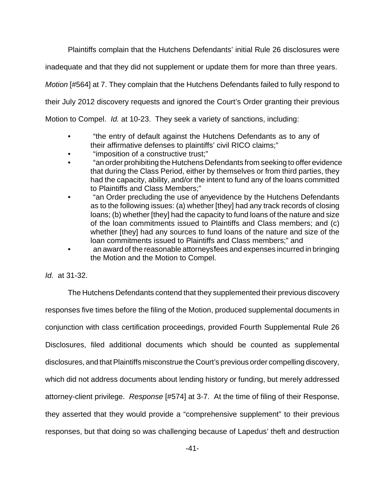Plaintiffs complain that the Hutchens Defendants' initial Rule 26 disclosures were inadequate and that they did not supplement or update them for more than three years. Motion [#564] at 7. They complain that the Hutchens Defendants failed to fully respond to their July 2012 discovery requests and ignored the Court's Order granting their previous Motion to Compel. Id. at 10-23. They seek a variety of sanctions, including:

- "the entry of default against the Hutchens Defendants as to any of their affirmative defenses to plaintiffs' civil RICO claims;"
- "imposition of a constructive trust;"
- "an order prohibiting the Hutchens Defendants from seeking to offer evidence that during the Class Period, either by themselves or from third parties, they had the capacity, ability, and/or the intent to fund any of the loans committed to Plaintiffs and Class Members;"
- "an Order precluding the use of any evidence by the Hutchens Defendants as to the following issues: (a) whether [they] had any track records of closing loans; (b) whether [they] had the capacity to fund loans of the nature and size of the loan commitments issued to Plaintiffs and Class members; and (c) whether [they] had any sources to fund loans of the nature and size of the loan commitments issued to Plaintiffs and Class members;" and
- an award of the reasonable attorneys fees and expenses incurred in bringing the Motion and the Motion to Compel.

### Id. at 31-32.

The Hutchens Defendants contend that they supplemented their previous discovery responses five times before the filing of the Motion, produced supplemental documents in conjunction with class certification proceedings, provided Fourth Supplemental Rule 26 Disclosures, filed additional documents which should be counted as supplemental disclosures, and that Plaintiffs misconstrue the Court's previous order compelling discovery, which did not address documents about lending history or funding, but merely addressed attorney-client privilege. Response [#574] at 3-7. At the time of filing of their Response, they asserted that they would provide a "comprehensive supplement" to their previous responses, but that doing so was challenging because of Lapedus' theft and destruction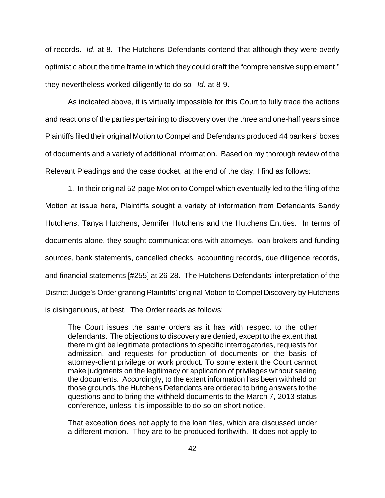of records. Id. at 8. The Hutchens Defendants contend that although they were overly optimistic about the time frame in which they could draft the "comprehensive supplement," they nevertheless worked diligently to do so. Id. at 8-9.

As indicated above, it is virtually impossible for this Court to fully trace the actions and reactions of the parties pertaining to discovery over the three and one-half years since Plaintiffs filed their original Motion to Compel and Defendants produced 44 bankers' boxes of documents and a variety of additional information. Based on my thorough review of the Relevant Pleadings and the case docket, at the end of the day, I find as follows:

1. In their original 52-page Motion to Compel which eventually led to the filing of the Motion at issue here, Plaintiffs sought a variety of information from Defendants Sandy Hutchens, Tanya Hutchens, Jennifer Hutchens and the Hutchens Entities. In terms of documents alone, they sought communications with attorneys, loan brokers and funding sources, bank statements, cancelled checks, accounting records, due diligence records, and financial statements [#255] at 26-28. The Hutchens Defendants' interpretation of the District Judge's Order granting Plaintiffs' original Motion to Compel Discovery by Hutchens is disingenuous, at best. The Order reads as follows:

The Court issues the same orders as it has with respect to the other defendants. The objections to discovery are denied, except to the extent that there might be legitimate protections to specific interrogatories, requests for admission, and requests for production of documents on the basis of attorney-client privilege or work product. To some extent the Court cannot make judgments on the legitimacy or application of privileges without seeing the documents. Accordingly, to the extent information has been withheld on those grounds, the Hutchens Defendants are ordered to bring answers to the questions and to bring the withheld documents to the March 7, 2013 status conference, unless it is impossible to do so on short notice.

That exception does not apply to the loan files, which are discussed under a different motion. They are to be produced forthwith. It does not apply to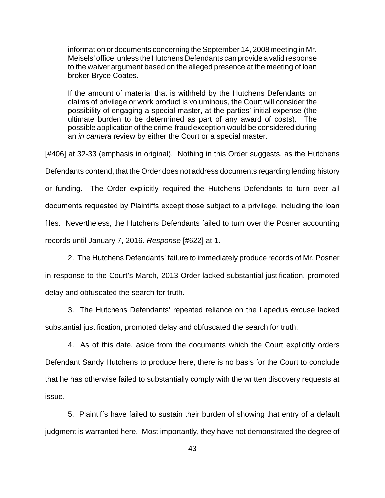information or documents concerning the September 14, 2008 meeting in Mr. Meisels' office, unless the Hutchens Defendants can provide a valid response to the waiver argument based on the alleged presence at the meeting of loan broker Bryce Coates.

If the amount of material that is withheld by the Hutchens Defendants on claims of privilege or work product is voluminous, the Court will consider the possibility of engaging a special master, at the parties' initial expense (the ultimate burden to be determined as part of any award of costs). The possible application of the crime-fraud exception would be considered during an *in camera* review by either the Court or a special master.

[#406] at 32-33 (emphasis in original). Nothing in this Order suggests, as the Hutchens Defendants contend, that the Order does not address documents regarding lending history or funding. The Order explicitly required the Hutchens Defendants to turn over all documents requested by Plaintiffs except those subject to a privilege, including the loan files. Nevertheless, the Hutchens Defendants failed to turn over the Posner accounting records until January 7, 2016. Response [#622] at 1.

2. The Hutchens Defendants' failure to immediately produce records of Mr. Posner in response to the Court's March, 2013 Order lacked substantial justification, promoted delay and obfuscated the search for truth.

3. The Hutchens Defendants' repeated reliance on the Lapedus excuse lacked substantial justification, promoted delay and obfuscated the search for truth.

4. As of this date, aside from the documents which the Court explicitly orders Defendant Sandy Hutchens to produce here, there is no basis for the Court to conclude that he has otherwise failed to substantially comply with the written discovery requests at issue.

5. Plaintiffs have failed to sustain their burden of showing that entry of a default judgment is warranted here. Most importantly, they have not demonstrated the degree of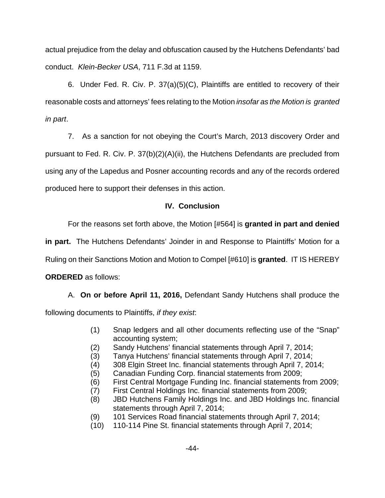actual prejudice from the delay and obfuscation caused by the Hutchens Defendants' bad conduct. Klein-Becker USA, 711 F.3d at 1159.

6. Under Fed. R. Civ. P. 37(a)(5)(C), Plaintiffs are entitled to recovery of their reasonable costs and attorneys' fees relating to the Motion insofar as the Motion is granted in part.

7. As a sanction for not obeying the Court's March, 2013 discovery Order and pursuant to Fed. R. Civ. P. 37(b)(2)(A)(ii), the Hutchens Defendants are precluded from using any of the Lapedus and Posner accounting records and any of the records ordered produced here to support their defenses in this action.

# **IV. Conclusion**

For the reasons set forth above, the Motion [#564] is **granted in part and denied**

**in part.** The Hutchens Defendants' Joinder in and Response to Plaintiffs' Motion for a

Ruling on their Sanctions Motion and Motion to Compel [#610] is **granted**. IT IS HEREBY

**ORDERED** as follows:

A. **On or before April 11, 2016,** Defendant Sandy Hutchens shall produce the

following documents to Plaintiffs, *if they exist*:

- (1) Snap ledgers and all other documents reflecting use of the "Snap" accounting system;
- (2) Sandy Hutchens' financial statements through April 7, 2014;
- (3) Tanya Hutchens' financial statements through April 7, 2014;
- (4) 308 Elgin Street Inc. financial statements through April 7, 2014;
- (5) Canadian Funding Corp. financial statements from 2009;
- (6) First Central Mortgage Funding Inc. financial statements from 2009;
- (7) First Central Holdings Inc. financial statements from 2009;
- (8) JBD Hutchens Family Holdings Inc. and JBD Holdings Inc. financial statements through April 7, 2014;
- (9) 101 Services Road financial statements through April 7, 2014;
- (10) 110-114 Pine St. financial statements through April 7, 2014;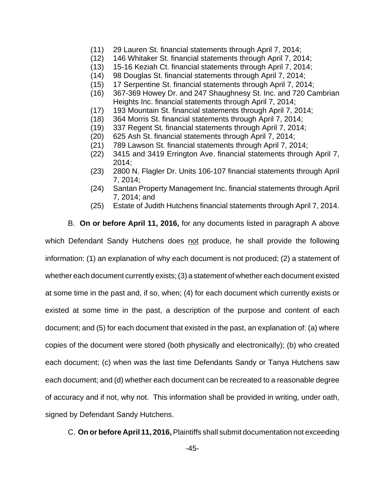- (11) 29 Lauren St. financial statements through April 7, 2014;
- (12) 146 Whitaker St. financial statements through April 7, 2014;
- (13) 15-16 Keziah Ct. financial statements through April 7, 2014;
- (14) 98 Douglas St. financial statements through April 7, 2014;
- (15) 17 Serpentine St. financial statements through April 7, 2014;
- (16) 367-369 Howey Dr. and 247 Shaughnesy St. Inc. and 720 Cambrian Heights Inc. financial statements through April 7, 2014;
- (17) 193 Mountain St. financial statements through April 7, 2014;
- (18) 364 Morris St. financial statements through April 7, 2014;
- (19) 337 Regent St. financial statements through April 7, 2014;
- (20) 625 Ash St. financial statements through April 7, 2014;
- (21) 789 Lawson St. financial statements through April 7, 2014;
- (22) 3415 and 3419 Errington Ave. financial statements through April 7, 2014;
- (23) 2800 N. Flagler Dr. Units 106-107 financial statements through April 7, 2014;
- (24) Santan Property Management Inc. financial statements through April 7, 2014; and
- (25) Estate of Judith Hutchens financial statements through April 7, 2014.

B. **On or before April 11, 2016,** for any documents listed in paragraph A above

which Defendant Sandy Hutchens does not produce, he shall provide the following information: (1) an explanation of why each document is not produced; (2) a statement of whether each document currently exists; (3) a statement of whether each document existed at some time in the past and, if so, when; (4) for each document which currently exists or existed at some time in the past, a description of the purpose and content of each document; and (5) for each document that existed in the past, an explanation of: (a) where copies of the document were stored (both physically and electronically); (b) who created each document; (c) when was the last time Defendants Sandy or Tanya Hutchens saw each document; and (d) whether each document can be recreated to a reasonable degree of accuracy and if not, why not. This information shall be provided in writing, under oath, signed by Defendant Sandy Hutchens.

C. **On or before April 11, 2016,** Plaintiffs shall submit documentation not exceeding